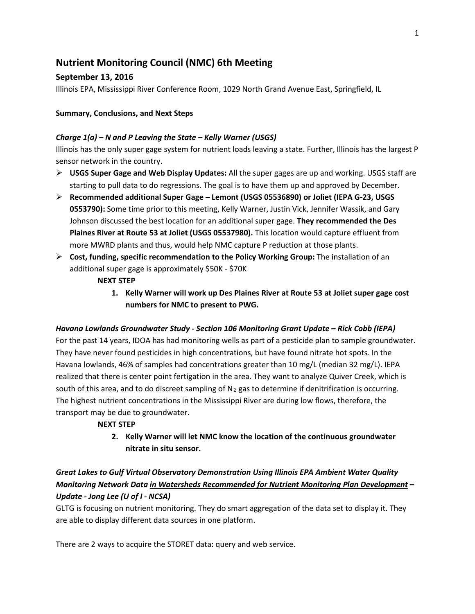# **Nutrient Monitoring Council (NMC) 6th Meeting**

# **September 13, 2016**

Illinois EPA, Mississippi River Conference Room, 1029 North Grand Avenue East, Springfield, IL

### **Summary, Conclusions, and Next Steps**

#### *Charge 1(a) – N and P Leaving the State – Kelly Warner (USGS)*

Illinois has the only super gage system for nutrient loads leaving a state. Further, Illinois has the largest P sensor network in the country.

- **USGS Super Gage and Web Display Updates:** All the super gages are up and working. USGS staff are starting to pull data to do regressions. The goal is to have them up and approved by December.
- **Recommended additional Super Gage – Lemont (USGS 05536890) or Joliet (IEPA G-23, USGS 0553790):** Some time prior to this meeting, Kelly Warner, Justin Vick, Jennifer Wassik, and Gary Johnson discussed the best location for an additional super gage. **They recommended the Des Plaines River at Route 53 at Joliet (USGS 05537980).** This location would capture effluent from more MWRD plants and thus, would help NMC capture P reduction at those plants.
- **Cost, funding, specific recommendation to the Policy Working Group:** The installation of an additional super gage is approximately \$50K - \$70K
	- **NEXT STEP**
		- **1. Kelly Warner will work up Des Plaines River at Route 53 at Joliet super gage cost numbers for NMC to present to PWG.**

#### *Havana Lowlands Groundwater Study - Section 106 Monitoring Grant Update – Rick Cobb (IEPA)*

For the past 14 years, IDOA has had monitoring wells as part of a pesticide plan to sample groundwater. They have never found pesticides in high concentrations, but have found nitrate hot spots. In the Havana lowlands, 46% of samples had concentrations greater than 10 mg/L (median 32 mg/L). IEPA realized that there is center point fertigation in the area. They want to analyze Quiver Creek, which is south of this area, and to do discreet sampling of  $N_2$  gas to determine if denitrification is occurring. The highest nutrient concentrations in the Mississippi River are during low flows, therefore, the transport may be due to groundwater.

#### **NEXT STEP**

**2. Kelly Warner will let NMC know the location of the continuous groundwater nitrate in situ sensor.** 

# *Great Lakes to Gulf Virtual Observatory Demonstration Using Illinois EPA Ambient Water Quality Monitoring Network Data in Watersheds Recommended for Nutrient Monitoring Plan Development – Update - Jong Lee (U of I - NCSA)*

GLTG is focusing on nutrient monitoring. They do smart aggregation of the data set to display it. They are able to display different data sources in one platform.

There are 2 ways to acquire the STORET data: query and web service.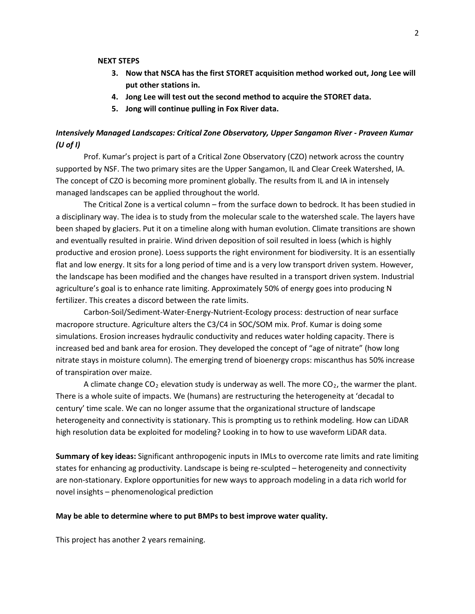#### **NEXT STEPS**

- **3. Now that NSCA has the first STORET acquisition method worked out, Jong Lee will put other stations in.**
- **4. Jong Lee will test out the second method to acquire the STORET data.**
- **5. Jong will continue pulling in Fox River data.**

# *Intensively Managed Landscapes: Critical Zone Observatory, Upper Sangamon River - Praveen Kumar (U of I)*

Prof. Kumar's project is part of a Critical Zone Observatory (CZO) network across the country supported by NSF. The two primary sites are the Upper Sangamon, IL and Clear Creek Watershed, IA. The concept of CZO is becoming more prominent globally. The results from IL and IA in intensely managed landscapes can be applied throughout the world.

The Critical Zone is a vertical column – from the surface down to bedrock. It has been studied in a disciplinary way. The idea is to study from the molecular scale to the watershed scale. The layers have been shaped by glaciers. Put it on a timeline along with human evolution. Climate transitions are shown and eventually resulted in prairie. Wind driven deposition of soil resulted in loess (which is highly productive and erosion prone). Loess supports the right environment for biodiversity. It is an essentially flat and low energy. It sits for a long period of time and is a very low transport driven system. However, the landscape has been modified and the changes have resulted in a transport driven system. Industrial agriculture's goal is to enhance rate limiting. Approximately 50% of energy goes into producing N fertilizer. This creates a discord between the rate limits.

Carbon-Soil/Sediment-Water-Energy-Nutrient-Ecology process: destruction of near surface macropore structure. Agriculture alters the C3/C4 in SOC/SOM mix. Prof. Kumar is doing some simulations. Erosion increases hydraulic conductivity and reduces water holding capacity. There is increased bed and bank area for erosion. They developed the concept of "age of nitrate" (how long nitrate stays in moisture column). The emerging trend of bioenergy crops: miscanthus has 50% increase of transpiration over maize.

A climate change  $CO<sub>2</sub>$  elevation study is underway as well. The more  $CO<sub>2</sub>$ , the warmer the plant. There is a whole suite of impacts. We (humans) are restructuring the heterogeneity at 'decadal to century' time scale. We can no longer assume that the organizational structure of landscape heterogeneity and connectivity is stationary. This is prompting us to rethink modeling. How can LiDAR high resolution data be exploited for modeling? Looking in to how to use waveform LiDAR data.

**Summary of key ideas:** Significant anthropogenic inputs in IMLs to overcome rate limits and rate limiting states for enhancing ag productivity. Landscape is being re-sculpted – heterogeneity and connectivity are non-stationary. Explore opportunities for new ways to approach modeling in a data rich world for novel insights – phenomenological prediction

#### **May be able to determine where to put BMPs to best improve water quality.**

This project has another 2 years remaining.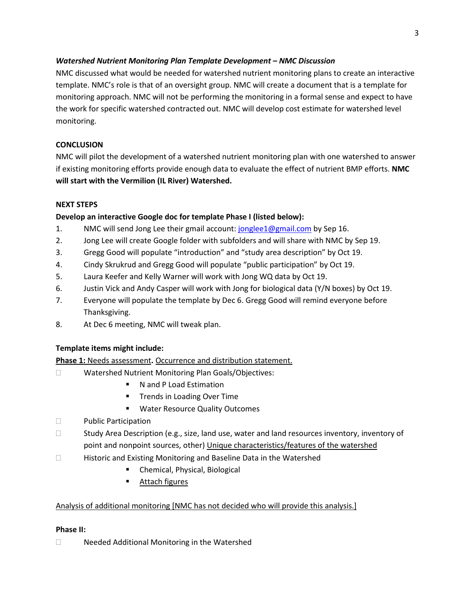# *Watershed Nutrient Monitoring Plan Template Development – NMC Discussion*

NMC discussed what would be needed for watershed nutrient monitoring plans to create an interactive template. NMC's role is that of an oversight group. NMC will create a document that is a template for monitoring approach. NMC will not be performing the monitoring in a formal sense and expect to have the work for specific watershed contracted out. NMC will develop cost estimate for watershed level monitoring.

## **CONCLUSION**

NMC will pilot the development of a watershed nutrient monitoring plan with one watershed to answer if existing monitoring efforts provide enough data to evaluate the effect of nutrient BMP efforts. **NMC will start with the Vermilion (IL River) Watershed.**

### **NEXT STEPS**

# **Develop an interactive Google doc for template Phase I (listed below):**

- 1. NMC will send Jong Lee their gmail account: [jonglee1@gmail.com](mailto:jonglee1@gmail.com) by Sep 16.
- 2. Jong Lee will create Google folder with subfolders and will share with NMC by Sep 19.
- 3. Gregg Good will populate "introduction" and "study area description" by Oct 19.
- 4. Cindy Skrukrud and Gregg Good will populate "public participation" by Oct 19.
- 5. Laura Keefer and Kelly Warner will work with Jong WQ data by Oct 19.
- 6. Justin Vick and Andy Casper will work with Jong for biological data (Y/N boxes) by Oct 19.
- 7. Everyone will populate the template by Dec 6. Gregg Good will remind everyone before Thanksgiving.
- 8. At Dec 6 meeting, NMC will tweak plan.

#### **Template items might include:**

#### **Phase 1:** Needs assessment**.** Occurrence and distribution statement.

- □ Watershed Nutrient Monitoring Plan Goals/Objectives:
	- N and P Load Estimation
	- Trends in Loading Over Time
	- **Water Resource Quality Outcomes**
- D Public Participation
- $\square$  Study Area Description (e.g., size, land use, water and land resources inventory, inventory of point and nonpoint sources, other) Unique characteristics/features of the watershed
- Historic and Existing Monitoring and Baseline Data in the Watershed
	- Chemical, Physical, Biological
	- **Attach figures**

# Analysis of additional monitoring [NMC has not decided who will provide this analysis.]

#### **Phase II:**

□ Needed Additional Monitoring in the Watershed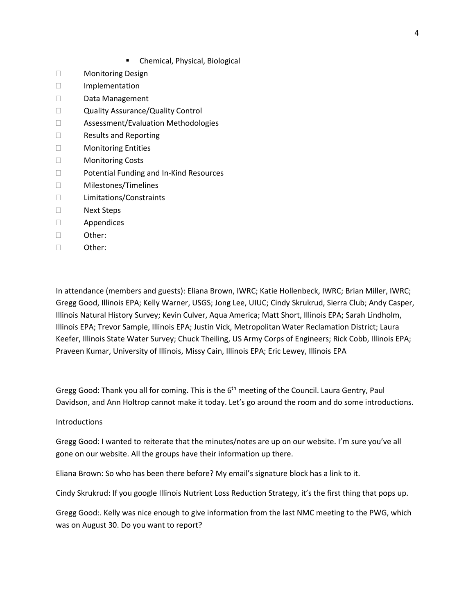- **EXEC** Chemical, Physical, Biological
- Monitoring Design
- Implementation
- Data Management
- Quality Assurance/Quality Control
- □ Assessment/Evaluation Methodologies
- □ Results and Reporting
- Monitoring Entities
- Monitoring Costs
- □ Potential Funding and In-Kind Resources
- Milestones/Timelines
- Limitations/Constraints
- □ Next Steps
- Appendices
- Other:
- Other:

In attendance (members and guests): Eliana Brown, IWRC; Katie Hollenbeck, IWRC; Brian Miller, IWRC; Gregg Good, Illinois EPA; Kelly Warner, USGS; Jong Lee, UIUC; Cindy Skrukrud, Sierra Club; Andy Casper, Illinois Natural History Survey; Kevin Culver, Aqua America; Matt Short, Illinois EPA; Sarah Lindholm, Illinois EPA; Trevor Sample, Illinois EPA; Justin Vick, Metropolitan Water Reclamation District; Laura Keefer, Illinois State Water Survey; Chuck Theiling, US Army Corps of Engineers; Rick Cobb, Illinois EPA; Praveen Kumar, University of Illinois, Missy Cain, Illinois EPA; Eric Lewey, Illinois EPA

Gregg Good: Thank you all for coming. This is the 6<sup>th</sup> meeting of the Council. Laura Gentry, Paul Davidson, and Ann Holtrop cannot make it today. Let's go around the room and do some introductions.

#### Introductions

Gregg Good: I wanted to reiterate that the minutes/notes are up on our website. I'm sure you've all gone on our website. All the groups have their information up there.

Eliana Brown: So who has been there before? My email's signature block has a link to it.

Cindy Skrukrud: If you google Illinois Nutrient Loss Reduction Strategy, it's the first thing that pops up.

Gregg Good:. Kelly was nice enough to give information from the last NMC meeting to the PWG, which was on August 30. Do you want to report?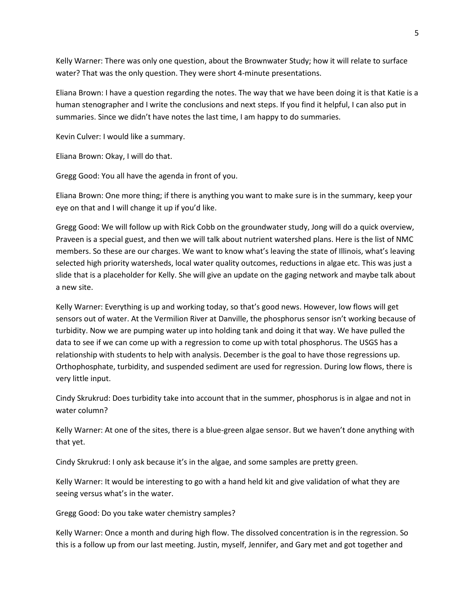Kelly Warner: There was only one question, about the Brownwater Study; how it will relate to surface water? That was the only question. They were short 4-minute presentations.

Eliana Brown: I have a question regarding the notes. The way that we have been doing it is that Katie is a human stenographer and I write the conclusions and next steps. If you find it helpful, I can also put in summaries. Since we didn't have notes the last time, I am happy to do summaries.

Kevin Culver: I would like a summary.

Eliana Brown: Okay, I will do that.

Gregg Good: You all have the agenda in front of you.

Eliana Brown: One more thing; if there is anything you want to make sure is in the summary, keep your eye on that and I will change it up if you'd like.

Gregg Good: We will follow up with Rick Cobb on the groundwater study, Jong will do a quick overview, Praveen is a special guest, and then we will talk about nutrient watershed plans. Here is the list of NMC members. So these are our charges. We want to know what's leaving the state of Illinois, what's leaving selected high priority watersheds, local water quality outcomes, reductions in algae etc. This was just a slide that is a placeholder for Kelly. She will give an update on the gaging network and maybe talk about a new site.

Kelly Warner: Everything is up and working today, so that's good news. However, low flows will get sensors out of water. At the Vermilion River at Danville, the phosphorus sensor isn't working because of turbidity. Now we are pumping water up into holding tank and doing it that way. We have pulled the data to see if we can come up with a regression to come up with total phosphorus. The USGS has a relationship with students to help with analysis. December is the goal to have those regressions up. Orthophosphate, turbidity, and suspended sediment are used for regression. During low flows, there is very little input.

Cindy Skrukrud: Does turbidity take into account that in the summer, phosphorus is in algae and not in water column?

Kelly Warner: At one of the sites, there is a blue-green algae sensor. But we haven't done anything with that yet.

Cindy Skrukrud: I only ask because it's in the algae, and some samples are pretty green.

Kelly Warner: It would be interesting to go with a hand held kit and give validation of what they are seeing versus what's in the water.

Gregg Good: Do you take water chemistry samples?

Kelly Warner: Once a month and during high flow. The dissolved concentration is in the regression. So this is a follow up from our last meeting. Justin, myself, Jennifer, and Gary met and got together and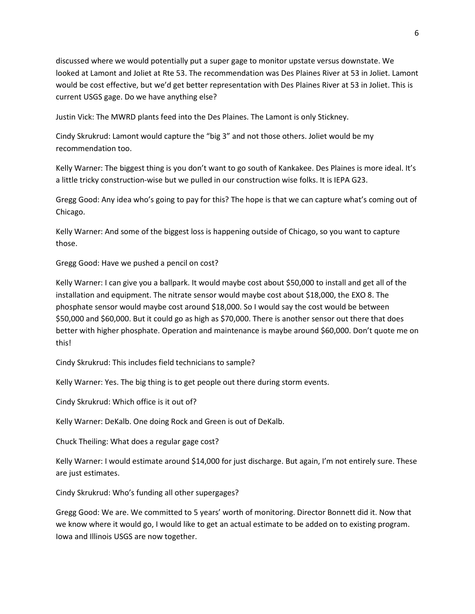discussed where we would potentially put a super gage to monitor upstate versus downstate. We looked at Lamont and Joliet at Rte 53. The recommendation was Des Plaines River at 53 in Joliet. Lamont would be cost effective, but we'd get better representation with Des Plaines River at 53 in Joliet. This is current USGS gage. Do we have anything else?

Justin Vick: The MWRD plants feed into the Des Plaines. The Lamont is only Stickney.

Cindy Skrukrud: Lamont would capture the "big 3" and not those others. Joliet would be my recommendation too.

Kelly Warner: The biggest thing is you don't want to go south of Kankakee. Des Plaines is more ideal. It's a little tricky construction-wise but we pulled in our construction wise folks. It is IEPA G23.

Gregg Good: Any idea who's going to pay for this? The hope is that we can capture what's coming out of Chicago.

Kelly Warner: And some of the biggest loss is happening outside of Chicago, so you want to capture those.

Gregg Good: Have we pushed a pencil on cost?

Kelly Warner: I can give you a ballpark. It would maybe cost about \$50,000 to install and get all of the installation and equipment. The nitrate sensor would maybe cost about \$18,000, the EXO 8. The phosphate sensor would maybe cost around \$18,000. So I would say the cost would be between \$50,000 and \$60,000. But it could go as high as \$70,000. There is another sensor out there that does better with higher phosphate. Operation and maintenance is maybe around \$60,000. Don't quote me on this!

Cindy Skrukrud: This includes field technicians to sample?

Kelly Warner: Yes. The big thing is to get people out there during storm events.

Cindy Skrukrud: Which office is it out of?

Kelly Warner: DeKalb. One doing Rock and Green is out of DeKalb.

Chuck Theiling: What does a regular gage cost?

Kelly Warner: I would estimate around \$14,000 for just discharge. But again, I'm not entirely sure. These are just estimates.

Cindy Skrukrud: Who's funding all other supergages?

Gregg Good: We are. We committed to 5 years' worth of monitoring. Director Bonnett did it. Now that we know where it would go, I would like to get an actual estimate to be added on to existing program. Iowa and Illinois USGS are now together.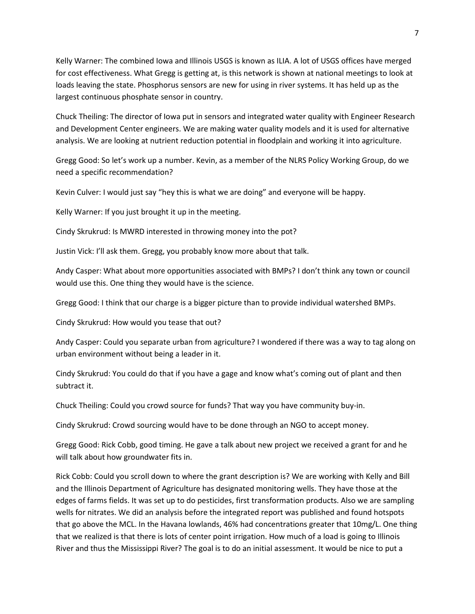Kelly Warner: The combined Iowa and Illinois USGS is known as ILIA. A lot of USGS offices have merged for cost effectiveness. What Gregg is getting at, is this network is shown at national meetings to look at loads leaving the state. Phosphorus sensors are new for using in river systems. It has held up as the largest continuous phosphate sensor in country.

Chuck Theiling: The director of Iowa put in sensors and integrated water quality with Engineer Research and Development Center engineers. We are making water quality models and it is used for alternative analysis. We are looking at nutrient reduction potential in floodplain and working it into agriculture.

Gregg Good: So let's work up a number. Kevin, as a member of the NLRS Policy Working Group, do we need a specific recommendation?

Kevin Culver: I would just say "hey this is what we are doing" and everyone will be happy.

Kelly Warner: If you just brought it up in the meeting.

Cindy Skrukrud: Is MWRD interested in throwing money into the pot?

Justin Vick: I'll ask them. Gregg, you probably know more about that talk.

Andy Casper: What about more opportunities associated with BMPs? I don't think any town or council would use this. One thing they would have is the science.

Gregg Good: I think that our charge is a bigger picture than to provide individual watershed BMPs.

Cindy Skrukrud: How would you tease that out?

Andy Casper: Could you separate urban from agriculture? I wondered if there was a way to tag along on urban environment without being a leader in it.

Cindy Skrukrud: You could do that if you have a gage and know what's coming out of plant and then subtract it.

Chuck Theiling: Could you crowd source for funds? That way you have community buy-in.

Cindy Skrukrud: Crowd sourcing would have to be done through an NGO to accept money.

Gregg Good: Rick Cobb, good timing. He gave a talk about new project we received a grant for and he will talk about how groundwater fits in.

Rick Cobb: Could you scroll down to where the grant description is? We are working with Kelly and Bill and the Illinois Department of Agriculture has designated monitoring wells. They have those at the edges of farms fields. It was set up to do pesticides, first transformation products. Also we are sampling wells for nitrates. We did an analysis before the integrated report was published and found hotspots that go above the MCL. In the Havana lowlands, 46% had concentrations greater that 10mg/L. One thing that we realized is that there is lots of center point irrigation. How much of a load is going to Illinois River and thus the Mississippi River? The goal is to do an initial assessment. It would be nice to put a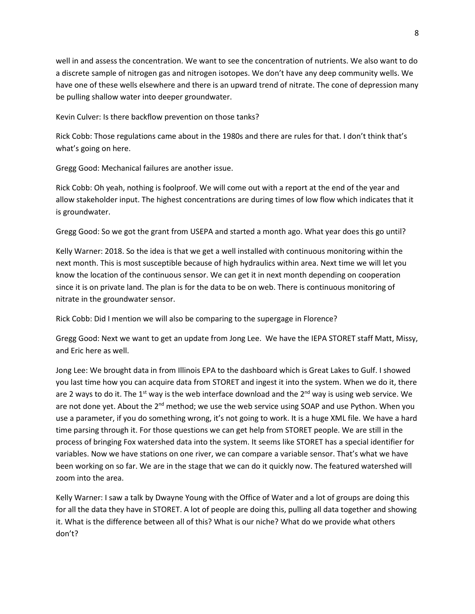well in and assess the concentration. We want to see the concentration of nutrients. We also want to do a discrete sample of nitrogen gas and nitrogen isotopes. We don't have any deep community wells. We have one of these wells elsewhere and there is an upward trend of nitrate. The cone of depression many be pulling shallow water into deeper groundwater.

Kevin Culver: Is there backflow prevention on those tanks?

Rick Cobb: Those regulations came about in the 1980s and there are rules for that. I don't think that's what's going on here.

Gregg Good: Mechanical failures are another issue.

Rick Cobb: Oh yeah, nothing is foolproof. We will come out with a report at the end of the year and allow stakeholder input. The highest concentrations are during times of low flow which indicates that it is groundwater.

Gregg Good: So we got the grant from USEPA and started a month ago. What year does this go until?

Kelly Warner: 2018. So the idea is that we get a well installed with continuous monitoring within the next month. This is most susceptible because of high hydraulics within area. Next time we will let you know the location of the continuous sensor. We can get it in next month depending on cooperation since it is on private land. The plan is for the data to be on web. There is continuous monitoring of nitrate in the groundwater sensor.

Rick Cobb: Did I mention we will also be comparing to the supergage in Florence?

Gregg Good: Next we want to get an update from Jong Lee. We have the IEPA STORET staff Matt, Missy, and Eric here as well.

Jong Lee: We brought data in from Illinois EPA to the dashboard which is Great Lakes to Gulf. I showed you last time how you can acquire data from STORET and ingest it into the system. When we do it, there are 2 ways to do it. The 1<sup>st</sup> way is the web interface download and the  $2^{nd}$  way is using web service. We are not done yet. About the 2<sup>nd</sup> method; we use the web service using SOAP and use Python. When you use a parameter, if you do something wrong, it's not going to work. It is a huge XML file. We have a hard time parsing through it. For those questions we can get help from STORET people. We are still in the process of bringing Fox watershed data into the system. It seems like STORET has a special identifier for variables. Now we have stations on one river, we can compare a variable sensor. That's what we have been working on so far. We are in the stage that we can do it quickly now. The featured watershed will zoom into the area.

Kelly Warner: I saw a talk by Dwayne Young with the Office of Water and a lot of groups are doing this for all the data they have in STORET. A lot of people are doing this, pulling all data together and showing it. What is the difference between all of this? What is our niche? What do we provide what others don't?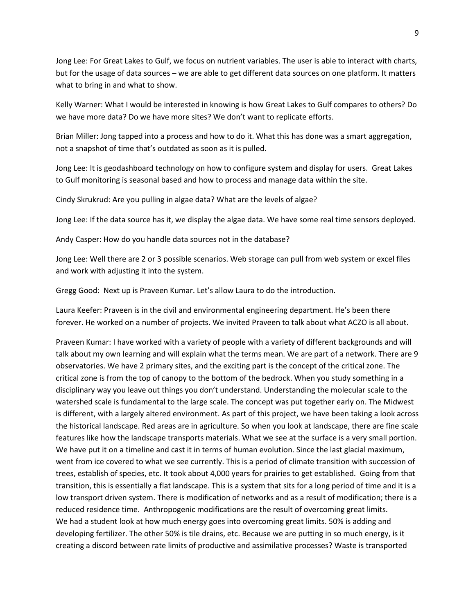Jong Lee: For Great Lakes to Gulf, we focus on nutrient variables. The user is able to interact with charts, but for the usage of data sources – we are able to get different data sources on one platform. It matters what to bring in and what to show.

Kelly Warner: What I would be interested in knowing is how Great Lakes to Gulf compares to others? Do we have more data? Do we have more sites? We don't want to replicate efforts.

Brian Miller: Jong tapped into a process and how to do it. What this has done was a smart aggregation, not a snapshot of time that's outdated as soon as it is pulled.

Jong Lee: It is geodashboard technology on how to configure system and display for users. Great Lakes to Gulf monitoring is seasonal based and how to process and manage data within the site.

Cindy Skrukrud: Are you pulling in algae data? What are the levels of algae?

Jong Lee: If the data source has it, we display the algae data. We have some real time sensors deployed.

Andy Casper: How do you handle data sources not in the database?

Jong Lee: Well there are 2 or 3 possible scenarios. Web storage can pull from web system or excel files and work with adjusting it into the system.

Gregg Good: Next up is Praveen Kumar. Let's allow Laura to do the introduction.

Laura Keefer: Praveen is in the civil and environmental engineering department. He's been there forever. He worked on a number of projects. We invited Praveen to talk about what ACZO is all about.

Praveen Kumar: I have worked with a variety of people with a variety of different backgrounds and will talk about my own learning and will explain what the terms mean. We are part of a network. There are 9 observatories. We have 2 primary sites, and the exciting part is the concept of the critical zone. The critical zone is from the top of canopy to the bottom of the bedrock. When you study something in a disciplinary way you leave out things you don't understand. Understanding the molecular scale to the watershed scale is fundamental to the large scale. The concept was put together early on. The Midwest is different, with a largely altered environment. As part of this project, we have been taking a look across the historical landscape. Red areas are in agriculture. So when you look at landscape, there are fine scale features like how the landscape transports materials. What we see at the surface is a very small portion. We have put it on a timeline and cast it in terms of human evolution. Since the last glacial maximum, went from ice covered to what we see currently. This is a period of climate transition with succession of trees, establish of species, etc. It took about 4,000 years for prairies to get established. Going from that transition, this is essentially a flat landscape. This is a system that sits for a long period of time and it is a low transport driven system. There is modification of networks and as a result of modification; there is a reduced residence time. Anthropogenic modifications are the result of overcoming great limits. We had a student look at how much energy goes into overcoming great limits. 50% is adding and developing fertilizer. The other 50% is tile drains, etc. Because we are putting in so much energy, is it creating a discord between rate limits of productive and assimilative processes? Waste is transported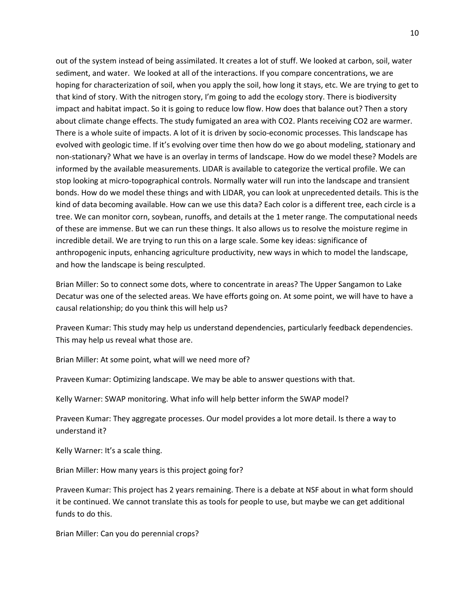out of the system instead of being assimilated. It creates a lot of stuff. We looked at carbon, soil, water sediment, and water. We looked at all of the interactions. If you compare concentrations, we are hoping for characterization of soil, when you apply the soil, how long it stays, etc. We are trying to get to that kind of story. With the nitrogen story, I'm going to add the ecology story. There is biodiversity impact and habitat impact. So it is going to reduce low flow. How does that balance out? Then a story about climate change effects. The study fumigated an area with CO2. Plants receiving CO2 are warmer. There is a whole suite of impacts. A lot of it is driven by socio-economic processes. This landscape has evolved with geologic time. If it's evolving over time then how do we go about modeling, stationary and non-stationary? What we have is an overlay in terms of landscape. How do we model these? Models are informed by the available measurements. LIDAR is available to categorize the vertical profile. We can stop looking at micro-topographical controls. Normally water will run into the landscape and transient bonds. How do we model these things and with LIDAR, you can look at unprecedented details. This is the kind of data becoming available. How can we use this data? Each color is a different tree, each circle is a tree. We can monitor corn, soybean, runoffs, and details at the 1 meter range. The computational needs of these are immense. But we can run these things. It also allows us to resolve the moisture regime in incredible detail. We are trying to run this on a large scale. Some key ideas: significance of anthropogenic inputs, enhancing agriculture productivity, new ways in which to model the landscape, and how the landscape is being resculpted.

Brian Miller: So to connect some dots, where to concentrate in areas? The Upper Sangamon to Lake Decatur was one of the selected areas. We have efforts going on. At some point, we will have to have a causal relationship; do you think this will help us?

Praveen Kumar: This study may help us understand dependencies, particularly feedback dependencies. This may help us reveal what those are.

Brian Miller: At some point, what will we need more of?

Praveen Kumar: Optimizing landscape. We may be able to answer questions with that.

Kelly Warner: SWAP monitoring. What info will help better inform the SWAP model?

Praveen Kumar: They aggregate processes. Our model provides a lot more detail. Is there a way to understand it?

Kelly Warner: It's a scale thing.

Brian Miller: How many years is this project going for?

Praveen Kumar: This project has 2 years remaining. There is a debate at NSF about in what form should it be continued. We cannot translate this as tools for people to use, but maybe we can get additional funds to do this.

Brian Miller: Can you do perennial crops?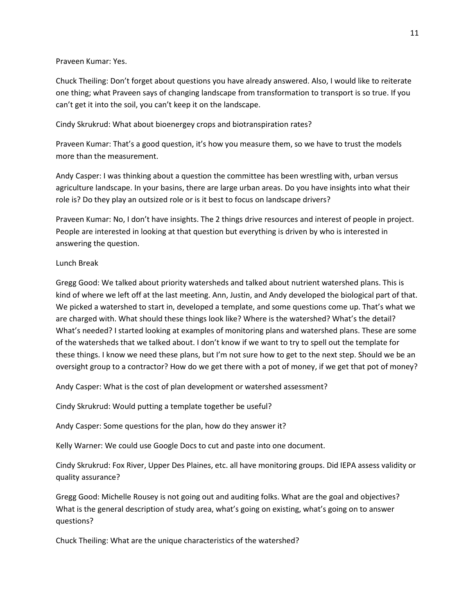#### Praveen Kumar: Yes.

Chuck Theiling: Don't forget about questions you have already answered. Also, I would like to reiterate one thing; what Praveen says of changing landscape from transformation to transport is so true. If you can't get it into the soil, you can't keep it on the landscape.

#### Cindy Skrukrud: What about bioenergey crops and biotranspiration rates?

Praveen Kumar: That's a good question, it's how you measure them, so we have to trust the models more than the measurement.

Andy Casper: I was thinking about a question the committee has been wrestling with, urban versus agriculture landscape. In your basins, there are large urban areas. Do you have insights into what their role is? Do they play an outsized role or is it best to focus on landscape drivers?

Praveen Kumar: No, I don't have insights. The 2 things drive resources and interest of people in project. People are interested in looking at that question but everything is driven by who is interested in answering the question.

#### Lunch Break

Gregg Good: We talked about priority watersheds and talked about nutrient watershed plans. This is kind of where we left off at the last meeting. Ann, Justin, and Andy developed the biological part of that. We picked a watershed to start in, developed a template, and some questions come up. That's what we are charged with. What should these things look like? Where is the watershed? What's the detail? What's needed? I started looking at examples of monitoring plans and watershed plans. These are some of the watersheds that we talked about. I don't know if we want to try to spell out the template for these things. I know we need these plans, but I'm not sure how to get to the next step. Should we be an oversight group to a contractor? How do we get there with a pot of money, if we get that pot of money?

Andy Casper: What is the cost of plan development or watershed assessment?

Cindy Skrukrud: Would putting a template together be useful?

Andy Casper: Some questions for the plan, how do they answer it?

Kelly Warner: We could use Google Docs to cut and paste into one document.

Cindy Skrukrud: Fox River, Upper Des Plaines, etc. all have monitoring groups. Did IEPA assess validity or quality assurance?

Gregg Good: Michelle Rousey is not going out and auditing folks. What are the goal and objectives? What is the general description of study area, what's going on existing, what's going on to answer questions?

Chuck Theiling: What are the unique characteristics of the watershed?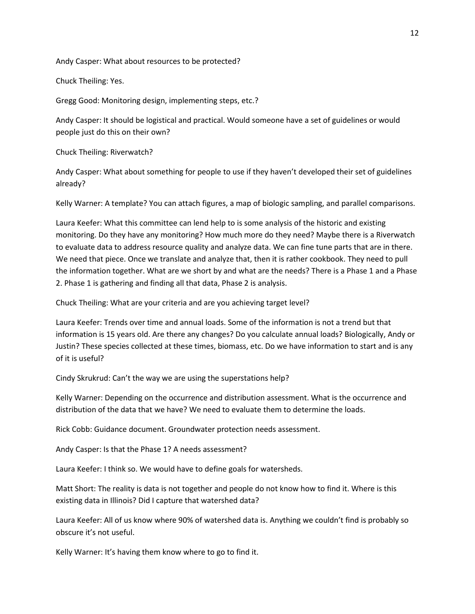Andy Casper: What about resources to be protected?

Chuck Theiling: Yes.

Gregg Good: Monitoring design, implementing steps, etc.?

Andy Casper: It should be logistical and practical. Would someone have a set of guidelines or would people just do this on their own?

Chuck Theiling: Riverwatch?

Andy Casper: What about something for people to use if they haven't developed their set of guidelines already?

Kelly Warner: A template? You can attach figures, a map of biologic sampling, and parallel comparisons.

Laura Keefer: What this committee can lend help to is some analysis of the historic and existing monitoring. Do they have any monitoring? How much more do they need? Maybe there is a Riverwatch to evaluate data to address resource quality and analyze data. We can fine tune parts that are in there. We need that piece. Once we translate and analyze that, then it is rather cookbook. They need to pull the information together. What are we short by and what are the needs? There is a Phase 1 and a Phase 2. Phase 1 is gathering and finding all that data, Phase 2 is analysis.

Chuck Theiling: What are your criteria and are you achieving target level?

Laura Keefer: Trends over time and annual loads. Some of the information is not a trend but that information is 15 years old. Are there any changes? Do you calculate annual loads? Biologically, Andy or Justin? These species collected at these times, biomass, etc. Do we have information to start and is any of it is useful?

Cindy Skrukrud: Can't the way we are using the superstations help?

Kelly Warner: Depending on the occurrence and distribution assessment. What is the occurrence and distribution of the data that we have? We need to evaluate them to determine the loads.

Rick Cobb: Guidance document. Groundwater protection needs assessment.

Andy Casper: Is that the Phase 1? A needs assessment?

Laura Keefer: I think so. We would have to define goals for watersheds.

Matt Short: The reality is data is not together and people do not know how to find it. Where is this existing data in Illinois? Did I capture that watershed data?

Laura Keefer: All of us know where 90% of watershed data is. Anything we couldn't find is probably so obscure it's not useful.

Kelly Warner: It's having them know where to go to find it.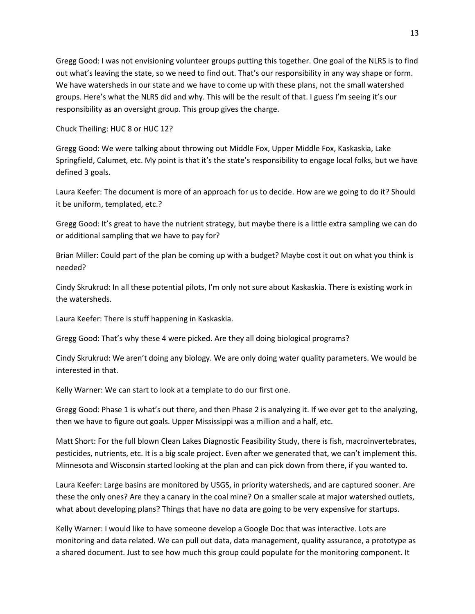Gregg Good: I was not envisioning volunteer groups putting this together. One goal of the NLRS is to find out what's leaving the state, so we need to find out. That's our responsibility in any way shape or form. We have watersheds in our state and we have to come up with these plans, not the small watershed groups. Here's what the NLRS did and why. This will be the result of that. I guess I'm seeing it's our responsibility as an oversight group. This group gives the charge.

Chuck Theiling: HUC 8 or HUC 12?

Gregg Good: We were talking about throwing out Middle Fox, Upper Middle Fox, Kaskaskia, Lake Springfield, Calumet, etc. My point is that it's the state's responsibility to engage local folks, but we have defined 3 goals.

Laura Keefer: The document is more of an approach for us to decide. How are we going to do it? Should it be uniform, templated, etc.?

Gregg Good: It's great to have the nutrient strategy, but maybe there is a little extra sampling we can do or additional sampling that we have to pay for?

Brian Miller: Could part of the plan be coming up with a budget? Maybe cost it out on what you think is needed?

Cindy Skrukrud: In all these potential pilots, I'm only not sure about Kaskaskia. There is existing work in the watersheds.

Laura Keefer: There is stuff happening in Kaskaskia.

Gregg Good: That's why these 4 were picked. Are they all doing biological programs?

Cindy Skrukrud: We aren't doing any biology. We are only doing water quality parameters. We would be interested in that.

Kelly Warner: We can start to look at a template to do our first one.

Gregg Good: Phase 1 is what's out there, and then Phase 2 is analyzing it. If we ever get to the analyzing, then we have to figure out goals. Upper Mississippi was a million and a half, etc.

Matt Short: For the full blown Clean Lakes Diagnostic Feasibility Study, there is fish, macroinvertebrates, pesticides, nutrients, etc. It is a big scale project. Even after we generated that, we can't implement this. Minnesota and Wisconsin started looking at the plan and can pick down from there, if you wanted to.

Laura Keefer: Large basins are monitored by USGS, in priority watersheds, and are captured sooner. Are these the only ones? Are they a canary in the coal mine? On a smaller scale at major watershed outlets, what about developing plans? Things that have no data are going to be very expensive for startups.

Kelly Warner: I would like to have someone develop a Google Doc that was interactive. Lots are monitoring and data related. We can pull out data, data management, quality assurance, a prototype as a shared document. Just to see how much this group could populate for the monitoring component. It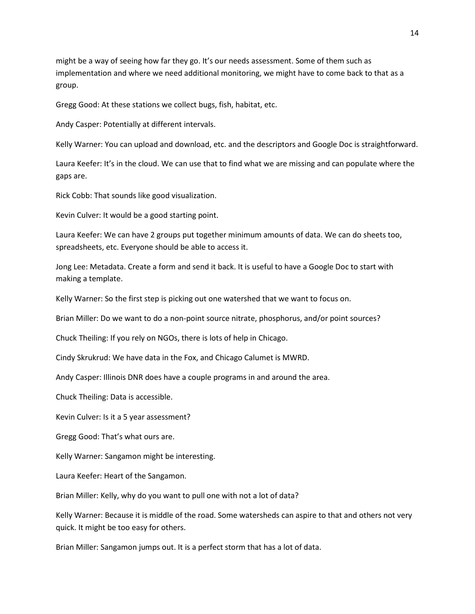might be a way of seeing how far they go. It's our needs assessment. Some of them such as implementation and where we need additional monitoring, we might have to come back to that as a group.

Gregg Good: At these stations we collect bugs, fish, habitat, etc.

Andy Casper: Potentially at different intervals.

Kelly Warner: You can upload and download, etc. and the descriptors and Google Doc is straightforward.

Laura Keefer: It's in the cloud. We can use that to find what we are missing and can populate where the gaps are.

Rick Cobb: That sounds like good visualization.

Kevin Culver: It would be a good starting point.

Laura Keefer: We can have 2 groups put together minimum amounts of data. We can do sheets too, spreadsheets, etc. Everyone should be able to access it.

Jong Lee: Metadata. Create a form and send it back. It is useful to have a Google Doc to start with making a template.

Kelly Warner: So the first step is picking out one watershed that we want to focus on.

Brian Miller: Do we want to do a non-point source nitrate, phosphorus, and/or point sources?

Chuck Theiling: If you rely on NGOs, there is lots of help in Chicago.

Cindy Skrukrud: We have data in the Fox, and Chicago Calumet is MWRD.

Andy Casper: Illinois DNR does have a couple programs in and around the area.

Chuck Theiling: Data is accessible.

Kevin Culver: Is it a 5 year assessment?

Gregg Good: That's what ours are.

Kelly Warner: Sangamon might be interesting.

Laura Keefer: Heart of the Sangamon.

Brian Miller: Kelly, why do you want to pull one with not a lot of data?

Kelly Warner: Because it is middle of the road. Some watersheds can aspire to that and others not very quick. It might be too easy for others.

Brian Miller: Sangamon jumps out. It is a perfect storm that has a lot of data.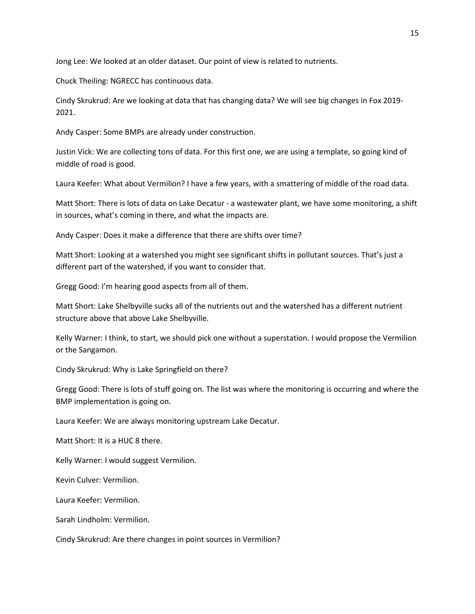Jong Lee: We looked at an older dataset. Our point of view is related to nutrients.

Chuck Theiling: NGRECC has continuous data.

Cindy Skrukrud: Are we looking at data that has changing data? We will see big changes in Fox 2019- 2021.

Andy Casper: Some BMPs are already under construction.

Justin Vick: We are collecting tons of data. For this first one, we are using a template, so going kind of middle of road is good.

Laura Keefer: What about Vermilion? I have a few years, with a smattering of middle of the road data.

Matt Short: There is lots of data on Lake Decatur - a wastewater plant, we have some monitoring, a shift in sources, what's coming in there, and what the impacts are.

Andy Casper: Does it make a difference that there are shifts over time?

Matt Short: Looking at a watershed you might see significant shifts in pollutant sources. That's just a different part of the watershed, if you want to consider that.

Gregg Good: I'm hearing good aspects from all of them.

Matt Short: Lake Shelbyville sucks all of the nutrients out and the watershed has a different nutrient structure above that above Lake Shelbyville.

Kelly Warner: I think, to start, we should pick one without a superstation. I would propose the Vermilion or the Sangamon.

Cindy Skrukrud: Why is Lake Springfield on there?

Gregg Good: There is lots of stuff going on. The list was where the monitoring is occurring and where the BMP implementation is going on.

Laura Keefer: We are always monitoring upstream Lake Decatur.

Matt Short: It is a HUC 8 there.

Kelly Warner: I would suggest Vermilion.

Kevin Culver: Vermilion.

Laura Keefer: Vermilion.

Sarah Lindholm: Vermilion.

Cindy Skrukrud: Are there changes in point sources in Vermilion?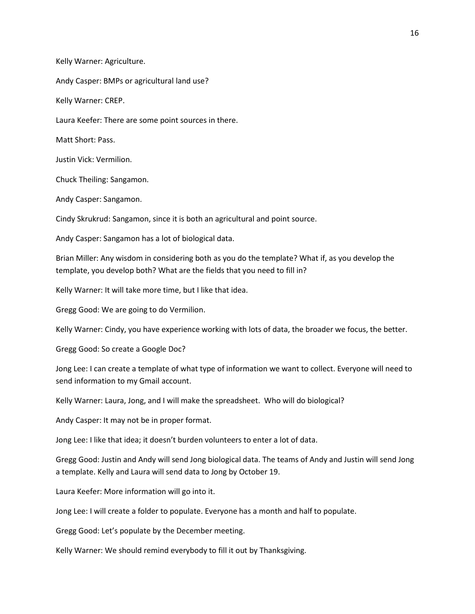Kelly Warner: Agriculture.

Andy Casper: BMPs or agricultural land use?

Kelly Warner: CREP.

Laura Keefer: There are some point sources in there.

Matt Short: Pass.

Justin Vick: Vermilion.

Chuck Theiling: Sangamon.

Andy Casper: Sangamon.

Cindy Skrukrud: Sangamon, since it is both an agricultural and point source.

Andy Casper: Sangamon has a lot of biological data.

Brian Miller: Any wisdom in considering both as you do the template? What if, as you develop the template, you develop both? What are the fields that you need to fill in?

Kelly Warner: It will take more time, but I like that idea.

Gregg Good: We are going to do Vermilion.

Kelly Warner: Cindy, you have experience working with lots of data, the broader we focus, the better.

Gregg Good: So create a Google Doc?

Jong Lee: I can create a template of what type of information we want to collect. Everyone will need to send information to my Gmail account.

Kelly Warner: Laura, Jong, and I will make the spreadsheet. Who will do biological?

Andy Casper: It may not be in proper format.

Jong Lee: I like that idea; it doesn't burden volunteers to enter a lot of data.

Gregg Good: Justin and Andy will send Jong biological data. The teams of Andy and Justin will send Jong a template. Kelly and Laura will send data to Jong by October 19.

Laura Keefer: More information will go into it.

Jong Lee: I will create a folder to populate. Everyone has a month and half to populate.

Gregg Good: Let's populate by the December meeting.

Kelly Warner: We should remind everybody to fill it out by Thanksgiving.